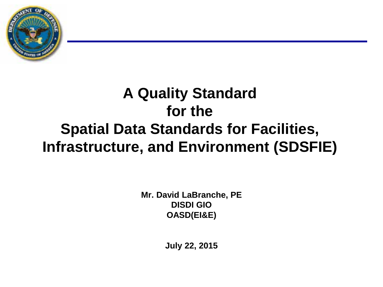

## **A Quality Standard for the Spatial Data Standards for Facilities, Infrastructure, and Environment (SDSFIE)**

**Mr. David LaBranche, PE DISDI GIO OASD(EI&E)**

**July 22, 2015**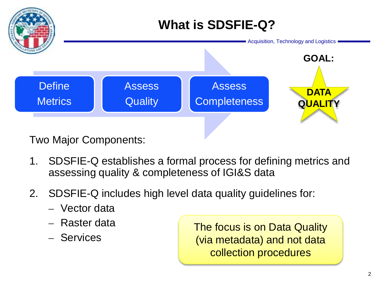

Two Major Components:

- 1. SDSFIE-Q establishes a formal process for defining metrics and assessing quality & completeness of IGI&S data
- 2. SDSFIE-Q includes high level data quality guidelines for:
	- Vector data
	- Raster data
	- Services

The focus is on Data Quality (via metadata) and not data collection procedures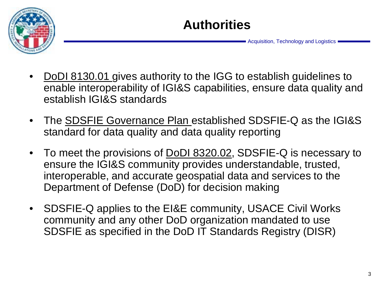

- DoDI 8130.01 gives authority to the IGG to establish guidelines to enable interoperability of IGI&S capabilities, ensure data quality and establish IGI&S standards
- The SDSFIE Governance Plan established SDSFIE-Q as the IGI&S standard for data quality and data quality reporting
- To meet the provisions of **DoDI 8320.02**, SDSFIE-Q is necessary to ensure the IGI&S community provides understandable, trusted, interoperable, and accurate geospatial data and services to the Department of Defense (DoD) for decision making
- SDSFIE-Q applies to the EI&E community, USACE Civil Works community and any other DoD organization mandated to use SDSFIE as specified in the DoD IT Standards Registry (DISR)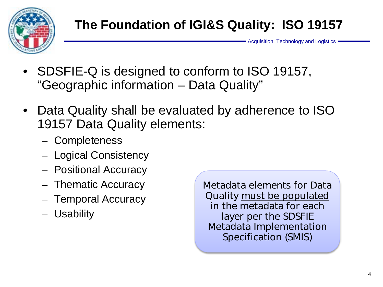

- SDSFIE-Q is designed to conform to ISO 19157, "Geographic information – Data Quality"
- Data Quality shall be evaluated by adherence to ISO 19157 Data Quality elements:
	- Completeness
	- Logical Consistency
	- Positional Accuracy
	- Thematic Accuracy
	- Temporal Accuracy
	- Usability

Metadata elements for Data Quality must be populated in the metadata for each layer per the SDSFIE Metadata Implementation Specification (SMIS)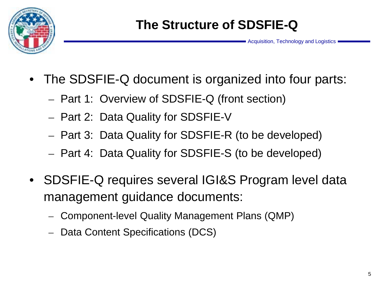

- The SDSFIE-Q document is organized into four parts:
	- Part 1: Overview of SDSFIE-Q (front section)
	- Part 2: Data Quality for SDSFIE-V
	- Part 3: Data Quality for SDSFIE-R (to be developed)
	- Part 4: Data Quality for SDSFIE-S (to be developed)
- SDSFIE-Q requires several IGI&S Program level data management guidance documents:
	- Component-level Quality Management Plans (QMP)
	- Data Content Specifications (DCS)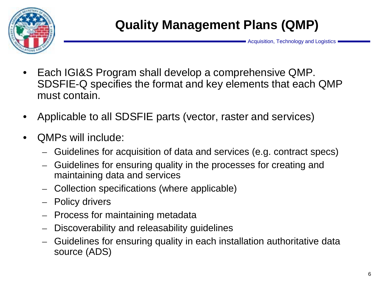

- Each IGI&S Program shall develop a comprehensive QMP. SDSFIE-Q specifies the format and key elements that each QMP must contain.
- Applicable to all SDSFIE parts (vector, raster and services)
- QMPs will include:
	- Guidelines for acquisition of data and services (e.g. contract specs)
	- Guidelines for ensuring quality in the processes for creating and maintaining data and services
	- Collection specifications (where applicable)
	- Policy drivers
	- Process for maintaining metadata
	- Discoverability and releasability guidelines
	- Guidelines for ensuring quality in each installation authoritative data source (ADS)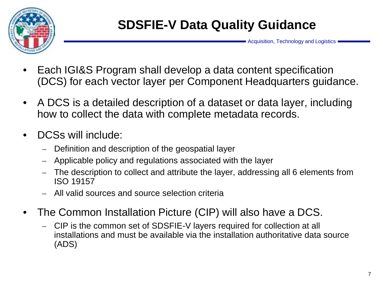

- Each IGI&S Program shall develop a data content specification (DCS) for each vector layer per Component Headquarters guidance.
- A DCS is a detailed description of a dataset or data layer, including how to collect the data with complete metadata records.
- DCSs will include:
	- Definition and description of the geospatial layer
	- Applicable policy and regulations associated with the layer
	- The description to collect and attribute the layer, addressing all 6 elements from ISO 19157
	- All valid sources and source selection criteria
- The Common Installation Picture (CIP) will also have a DCS.
	- CIP is the common set of SDSFIE-V layers required for collection at all installations and must be available via the installation authoritative data source (ADS)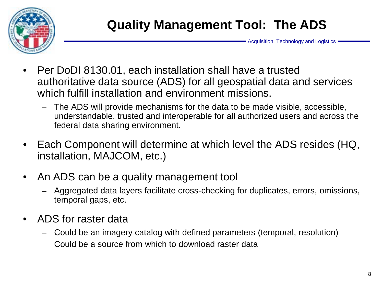

- Per DoDI 8130.01, each installation shall have a trusted authoritative data source (ADS) for all geospatial data and services which fulfill installation and environment missions.
	- The ADS will provide mechanisms for the data to be made visible, accessible, understandable, trusted and interoperable for all authorized users and across the federal data sharing environment.
- Each Component will determine at which level the ADS resides (HQ, installation, MAJCOM, etc.)
- An ADS can be a quality management tool
	- Aggregated data layers facilitate cross-checking for duplicates, errors, omissions, temporal gaps, etc.
- ADS for raster data
	- Could be an imagery catalog with defined parameters (temporal, resolution)
	- Could be a source from which to download raster data